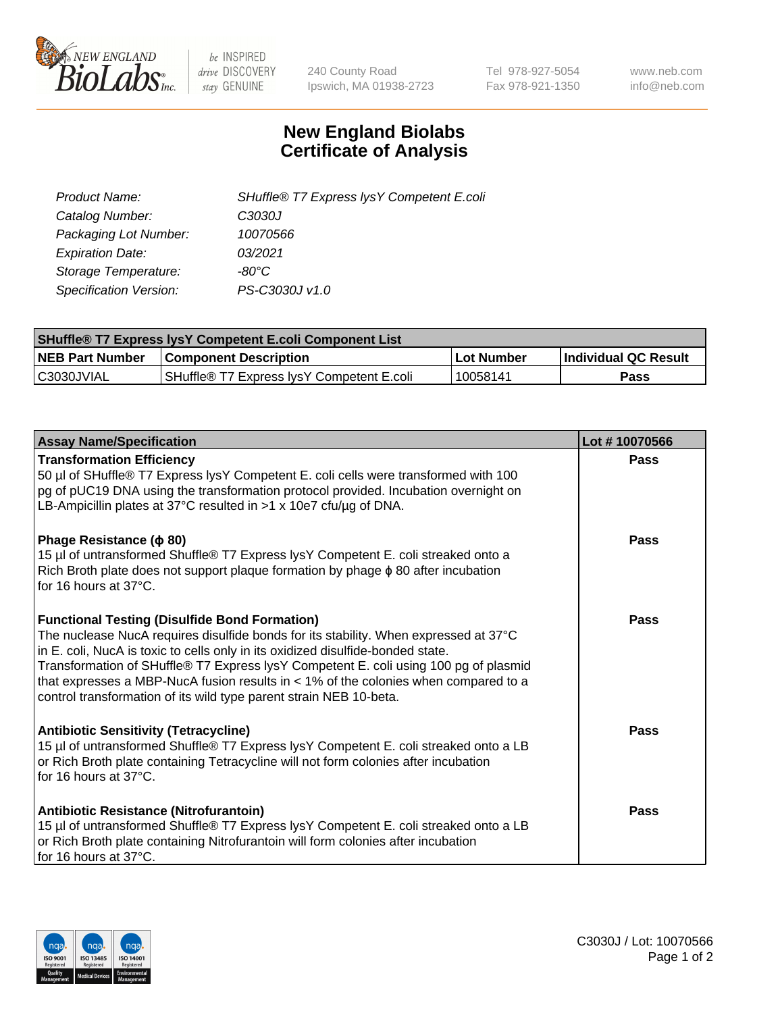

 $be$  INSPIRED drive DISCOVERY stay GENUINE

240 County Road Ipswich, MA 01938-2723 Tel 978-927-5054 Fax 978-921-1350 www.neb.com info@neb.com

## **New England Biolabs Certificate of Analysis**

| SHuffle® T7 Express lysY Competent E.coli |
|-------------------------------------------|
| C3030J                                    |
| 10070566                                  |
| 03/2021                                   |
| -80°C                                     |
| PS-C3030J v1.0                            |
|                                           |

| <b>SHuffle<sup>®</sup> T7 Express lysY Competent E.coli Component List</b> |                                           |            |                      |  |
|----------------------------------------------------------------------------|-------------------------------------------|------------|----------------------|--|
| <b>NEB Part Number</b>                                                     | <b>Component Description</b>              | Lot Number | Individual QC Result |  |
| C3030JVIAL                                                                 | SHuffle® T7 Express IvsY Competent E.coli | 10058141   | Pass                 |  |

| <b>Assay Name/Specification</b>                                                                                                                                                                                                                                                                                                                                                                                                                                                        | Lot #10070566 |
|----------------------------------------------------------------------------------------------------------------------------------------------------------------------------------------------------------------------------------------------------------------------------------------------------------------------------------------------------------------------------------------------------------------------------------------------------------------------------------------|---------------|
| <b>Transformation Efficiency</b><br>50 µl of SHuffle® T7 Express lysY Competent E. coli cells were transformed with 100<br>pg of pUC19 DNA using the transformation protocol provided. Incubation overnight on<br>LB-Ampicillin plates at 37°C resulted in >1 x 10e7 cfu/ug of DNA.                                                                                                                                                                                                    | Pass          |
| Phage Resistance ( $\phi$ 80)<br>15 µl of untransformed Shuffle® T7 Express lysY Competent E. coli streaked onto a<br>Rich Broth plate does not support plaque formation by phage $\phi$ 80 after incubation<br>for 16 hours at 37°C.                                                                                                                                                                                                                                                  | Pass          |
| <b>Functional Testing (Disulfide Bond Formation)</b><br>The nuclease NucA requires disulfide bonds for its stability. When expressed at 37°C<br>in E. coli, NucA is toxic to cells only in its oxidized disulfide-bonded state.<br>Transformation of SHuffle® T7 Express lysY Competent E. coli using 100 pg of plasmid<br>that expresses a MBP-NucA fusion results in $<$ 1% of the colonies when compared to a<br>control transformation of its wild type parent strain NEB 10-beta. | Pass          |
| <b>Antibiotic Sensitivity (Tetracycline)</b><br>15 µl of untransformed Shuffle® T7 Express lysY Competent E. coli streaked onto a LB<br>or Rich Broth plate containing Tetracycline will not form colonies after incubation<br>for 16 hours at 37°C.                                                                                                                                                                                                                                   | Pass          |
| Antibiotic Resistance (Nitrofurantoin)<br>15 µl of untransformed Shuffle® T7 Express lysY Competent E. coli streaked onto a LB<br>or Rich Broth plate containing Nitrofurantoin will form colonies after incubation<br>for 16 hours at 37°C.                                                                                                                                                                                                                                           | Pass          |